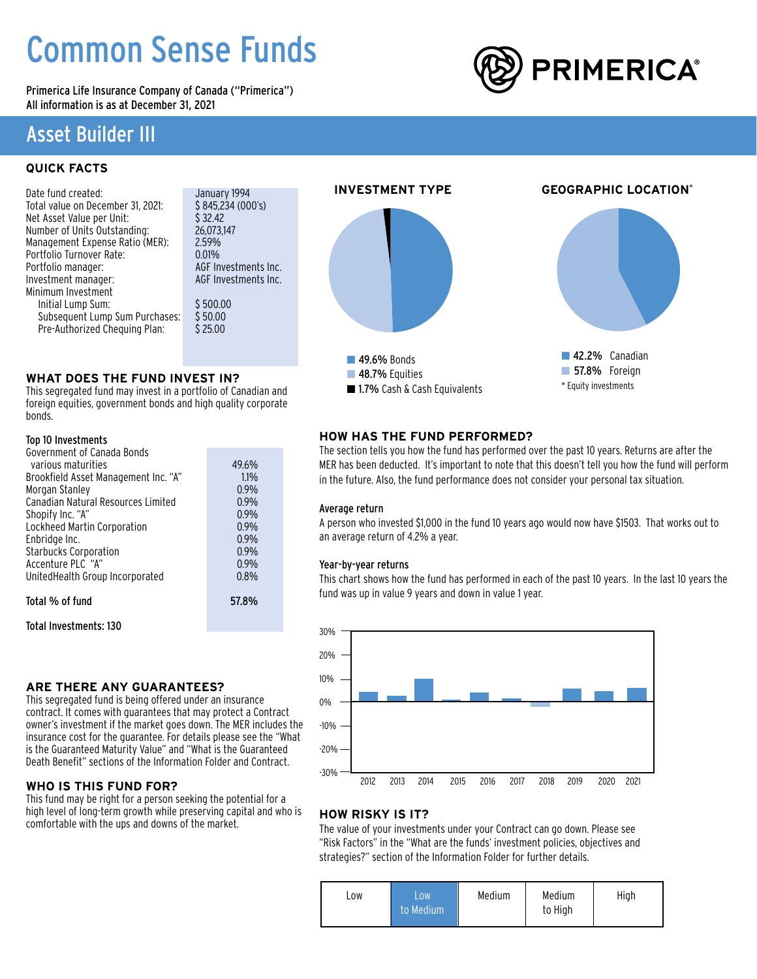# Common Sense Funds

Primerica Life Insurance Company of Canada ("Primerica") All information is as at December 31, 2021

## Asset Builder III

### **QUICK FACTS**

January 1994  $$845,234(000's)$  $$32.42$ 26,073,147  $2.59%$  $0.01%$ AGF Investments Inc. AGF Investments Inc.  $$500.00$  $$50.00$  $$25.00$ 

### **WHAT DOES THE FUND INVEST IN?**

This segregated fund may invest in a portfolio of Canadian and foreign equities, government bonds and high quality corporate bonds.

### Top 10 Investments

| Government of Canada Bonds           |       |
|--------------------------------------|-------|
| various maturities                   | 49.6% |
| Brookfield Asset Management Inc. "A" | 1.1%  |
| Morgan Stanley                       | 0.9%  |
| Canadian Natural Resources Limited   | 0.9%  |
| Shopify Inc. "A"                     | 0.9%  |
| Lockheed Martin Corporation          | 0.9%  |
| Enbridge Inc.                        | 0.9%  |
| <b>Starbucks Corporation</b>         | 0.9%  |
| Accenture PLC "A"                    | 0.9%  |
| UnitedHealth Group Incorporated      | 0.8%  |
|                                      |       |
| Total % of fund                      | 57.8% |

Total Investments: 130

### **ARE THERE ANY GUARANTEES?**

This segregated fund is being offered under an insurance contract. It comes with guarantees that may protect a Contract owner's investment if the market goes down. The MER includes the insurance cost for the guarantee. For details please see the "What is the Guaranteed Maturity Value" and "What is the Guaranteed Death Benefit" sections of the Information Folder and Contract.

### **WHO IS THIS FUND FOR?**

This fund may be right for a person seeking the potential for a high level of long-term growth while preserving capital and who is comfortable with the ups and downs of the market.



### **HOW HAS THE FUND PERFORMED?**

The section tells you how the fund has performed over the past 10 years. Returns are after the MER has been deducted. It's important to note that this doesn't tell you how the fund will perform in the future. Also, the fund performance does not consider your personal tax situation.

### Average return

A person who invested \$1,000 in the fund 10 years ago would now have \$1503. That works out to an average return of 4.2% a year.

### Year-by-year returns

This chart shows how the fund has performed in each of the past 10 years. In the last 10 years the fund was up in value 9 years and down in value 1 year.



### **HOW RISKY IS IT?**

The value of your investments under your Contract can go down. Please see "Risk Factors" in the "What are the funds' investment policies, objectives and strategies?" section of the Information Folder for further details.

| LOW | .ow<br>to Medium | Medium | Medium<br>to High | High |
|-----|------------------|--------|-------------------|------|
|-----|------------------|--------|-------------------|------|